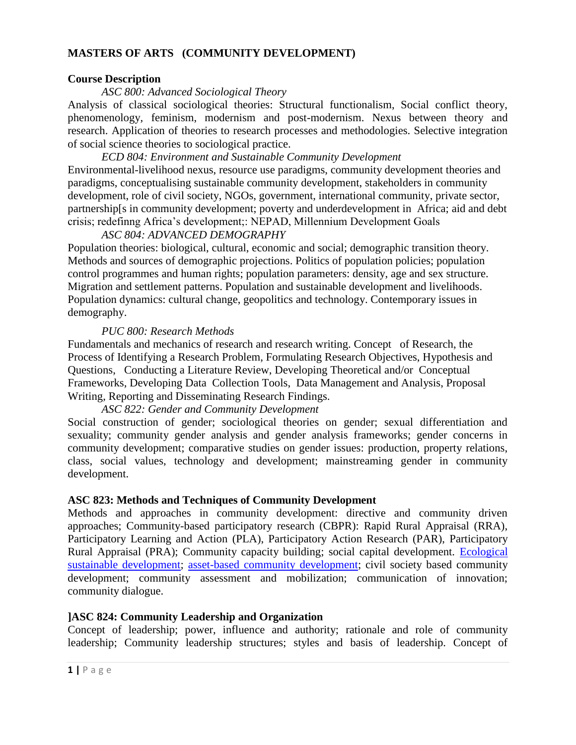#### **MASTERS OF ARTS (COMMUNITY DEVELOPMENT)**

#### **Course Description**

#### *ASC 800: Advanced Sociological Theory*

Analysis of classical sociological theories: Structural functionalism, Social conflict theory, phenomenology, feminism, modernism and post-modernism. Nexus between theory and research. Application of theories to research processes and methodologies. Selective integration of social science theories to sociological practice.

# *ECD 804: Environment and Sustainable Community Development*

Environmental-livelihood nexus, resource use paradigms, community development theories and paradigms, conceptualising sustainable community development, stakeholders in community development, role of civil society, NGOs, government, international community, private sector, partnership[s in community development; poverty and underdevelopment in Africa; aid and debt crisis; redefinng Africa's development;: NEPAD, Millennium Development Goals

#### *ASC 804: ADVANCED DEMOGRAPHY*

Population theories: biological, cultural, economic and social; demographic transition theory. Methods and sources of demographic projections. Politics of population policies; population control programmes and human rights; population parameters: density, age and sex structure. Migration and settlement patterns. Population and sustainable development and livelihoods. Population dynamics: cultural change, geopolitics and technology. Contemporary issues in demography.

#### *PUC 800: Research Methods*

Fundamentals and mechanics of research and research writing. Concept of Research, the Process of Identifying a Research Problem, Formulating Research Objectives, Hypothesis and Questions, Conducting a Literature Review, Developing Theoretical and/or Conceptual Frameworks, Developing Data Collection Tools, Data Management and Analysis, Proposal Writing, Reporting and Disseminating Research Findings.

# *ASC 822: Gender and Community Development*

Social construction of gender; sociological theories on gender; sexual differentiation and sexuality; community gender analysis and gender analysis frameworks; gender concerns in community development; comparative studies on gender issues: production, property relations, class, social values, technology and development; mainstreaming gender in community development.

# **ASC 823: Methods and Techniques of Community Development**

Methods and approaches in community development: directive and community driven approaches; Community-based participatory research (CBPR): Rapid Rural Appraisal (RRA), Participatory Learning and Action (PLA), Participatory Action Research (PAR), Participatory Rural Appraisal (PRA); Community capacity building; social capital development. [Ecological](http://en.wikipedia.org/wiki/Sustainable_development)  [sustainable development;](http://en.wikipedia.org/wiki/Sustainable_development) [asset-based community development;](http://en.wikipedia.org/wiki/Asset-based_community_development) civil society based community development; community assessment and mobilization; communication of innovation; community dialogue.

# **]ASC 824: Community Leadership and Organization**

Concept of leadership; power, influence and authority; rationale and role of community leadership; Community leadership structures; styles and basis of leadership. Concept of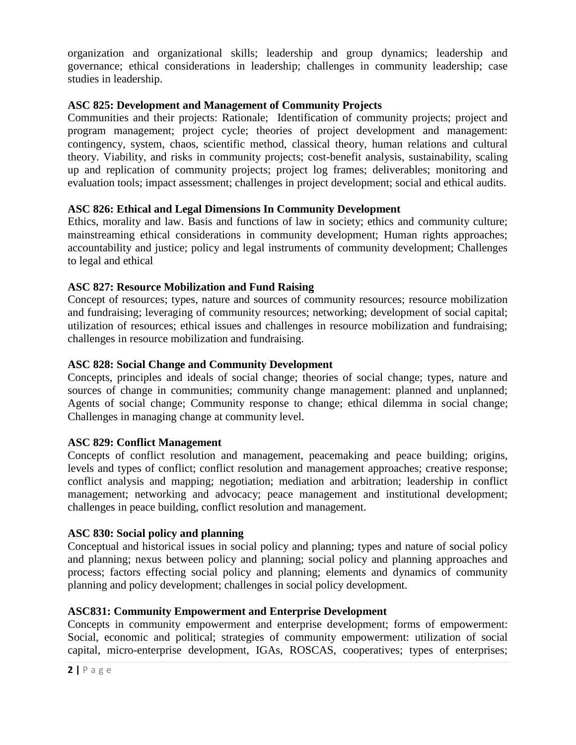organization and organizational skills; leadership and group dynamics; leadership and governance; ethical considerations in leadership; challenges in community leadership; case studies in leadership.

# **ASC 825: Development and Management of Community Projects**

Communities and their projects: Rationale; Identification of community projects; project and program management; project cycle; theories of project development and management: contingency, system, chaos, scientific method, classical theory, human relations and cultural theory. Viability, and risks in community projects; cost-benefit analysis, sustainability, scaling up and replication of community projects; project log frames; deliverables; monitoring and evaluation tools; impact assessment; challenges in project development; social and ethical audits.

# **ASC 826: Ethical and Legal Dimensions In Community Development**

Ethics, morality and law. Basis and functions of law in society; ethics and community culture; mainstreaming ethical considerations in community development; Human rights approaches; accountability and justice; policy and legal instruments of community development; Challenges to legal and ethical

# **ASC 827: Resource Mobilization and Fund Raising**

Concept of resources; types, nature and sources of community resources; resource mobilization and fundraising; leveraging of community resources; networking; development of social capital; utilization of resources; ethical issues and challenges in resource mobilization and fundraising; challenges in resource mobilization and fundraising.

#### **ASC 828: Social Change and Community Development**

Concepts, principles and ideals of social change; theories of social change; types, nature and sources of change in communities; community change management: planned and unplanned; Agents of social change; Community response to change; ethical dilemma in social change; Challenges in managing change at community level.

#### **ASC 829: Conflict Management**

Concepts of conflict resolution and management, peacemaking and peace building; origins, levels and types of conflict; conflict resolution and management approaches; creative response; conflict analysis and mapping; negotiation; mediation and arbitration; leadership in conflict management; networking and advocacy; peace management and institutional development; challenges in peace building, conflict resolution and management.

# **ASC 830: Social policy and planning**

Conceptual and historical issues in social policy and planning; types and nature of social policy and planning; nexus between policy and planning; social policy and planning approaches and process; factors effecting social policy and planning; elements and dynamics of community planning and policy development; challenges in social policy development.

# **ASC831: Community Empowerment and Enterprise Development**

Concepts in community empowerment and enterprise development; forms of empowerment: Social, economic and political; strategies of community empowerment: utilization of social capital, micro-enterprise development, IGAs, ROSCAS, cooperatives; types of enterprises;